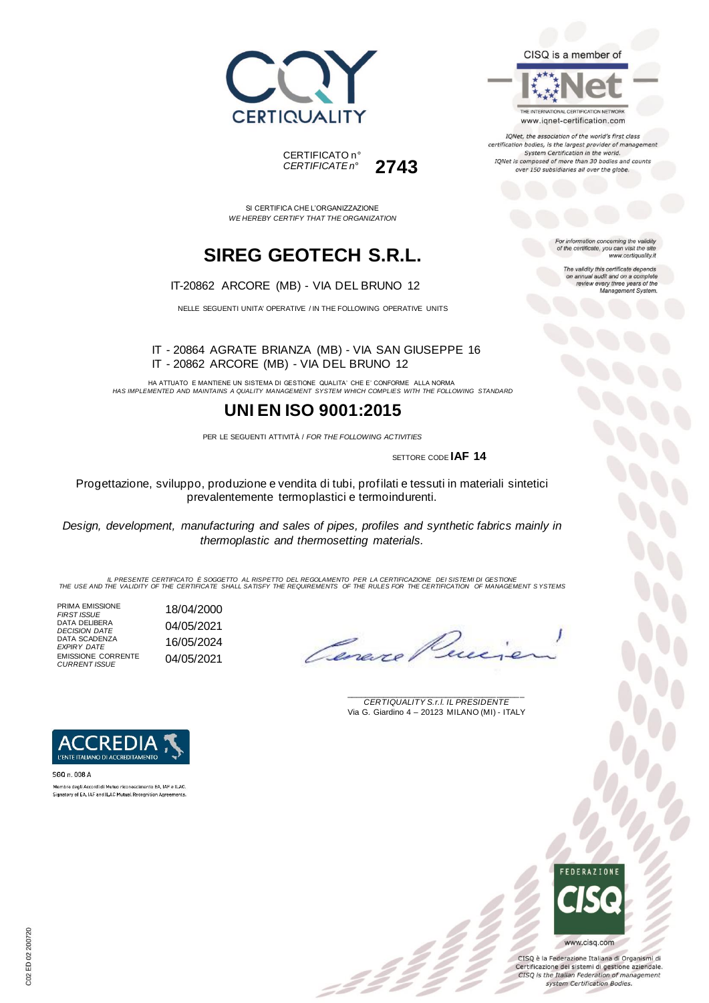



SI CERTIFICA CHE L'ORGANIZZAZIONE *WE HEREBY CERTIFY THAT THE ORGANIZATION*

# **SIREG GEOTECH S.R.L.**

IT-20862 ARCORE (MB) - VIA DEL BRUNO 12

NELLE SEGUENTI UNITA' OPERATIVE / IN THE FOLLOWING OPERATIVE UNITS

IT - 20864 AGRATE BRIANZA (MB) - VIA SAN GIUSEPPE 16 IT - 20862 ARCORE (MB) - VIA DEL BRUNO 12

HA ATTUATO E MANTIENE UN SISTEMA DI GESTIONE QUALITA' CHE E' CONFORME ALLA NORMA *HAS IMPLEMENTED AND MAINTAINS A QUALITY MANAGEMENT SYSTEM WHICH COMPLIES WITH THE FOLLOWING STANDARD*

## **UNI EN ISO 9001:2015**

PER LE SEGUENTI ATTIVITÀ / *FOR THE FOLLOWING ACTIVITIES*

SETTORE CODE **IAF 14**

Progettazione, sviluppo, produzione e vendita di tubi, profilati e tessuti in materiali sintetici prevalentemente termoplastici e termoindurenti.

*Design, development, manufacturing and sales of pipes, profiles and synthetic fabrics mainly in thermoplastic and thermosetting materials.*

*IL PRESENTE CERTIFICATO È SOGGETTO AL RISPETTO DEL REGOLAMENTO PER LA CERTIFICAZIONE DEI SISTEMI DI GESTIONE THE USE AND THE VALIDITY OF THE CERTIFICATE SHALL SATISFY THE REQUIREMENTS OF THE RULES FOR THE CERTIFICATION OF MANAGEMENT S YSTEMS*

 $\mathcal{L}$ 

PRIMA EMISSIONE *FIRST ISSUE* 18/04/2000 DATA DELIBERA *DECISION DATE* 04/05/2021 DATA SCADENZA *EXPIRY DATE* 16/05/2024 EMISSIONE CORRENTE *CURRENT ISSUE* 04/05/2021

Cerere

\_\_\_\_\_\_\_\_\_\_\_\_\_\_\_\_\_\_\_\_\_\_\_\_\_\_\_\_\_\_\_\_\_\_\_\_\_\_\_ *CERTIQUALITY S.r.l. IL PRESIDENTE* Via G. Giardino 4 – 20123 MILANO (MI) - ITALY



Membro degli Accordi di Mutuo riconoscimento EA, IAF e ILAC. Signatory of EA, IAF and ILAC Mutual Recognition Agreements CISQ is a member of



IQNet, the association of the world's first class certification bodies, is the largest provider of manageme. System Certification in the world. IQNet is composed of more than 30 bodies and counts over 150 subsidiaries all over the globe.

> For information concerning the validity<br>of the certificate, you can visit the site www.certiquality.it

> > The validity this certificate depends on annual audit and on a complete<br>review every three years of the<br>Management System.



CISQ è la Federazione Italiana di Organismi di Certificazione dei sistemi di gestione aziendale. CISQ is the Italian Federation of management system Certification Bodies.